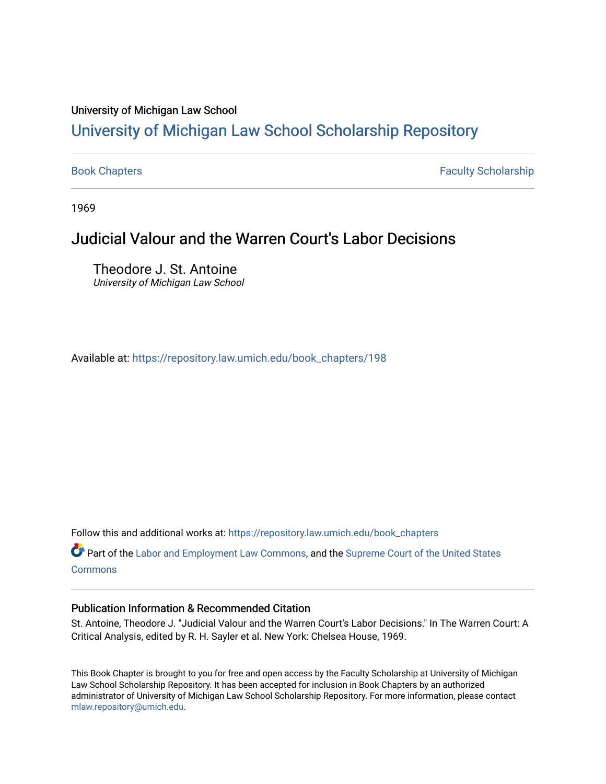### University of Michigan Law School

# [University of Michigan Law School Scholarship Repository](https://repository.law.umich.edu/)

[Book Chapters](https://repository.law.umich.edu/book_chapters) Faculty Scholarship

1969

# Judicial Valour and the Warren Court's Labor Decisions

Theodore J. St. Antoine University of Michigan Law School

Available at: [https://repository.law.umich.edu/book\\_chapters/198](https://repository.law.umich.edu/book_chapters/198) 

Follow this and additional works at: [https://repository.law.umich.edu/book\\_chapters](https://repository.law.umich.edu/book_chapters?utm_source=repository.law.umich.edu%2Fbook_chapters%2F198&utm_medium=PDF&utm_campaign=PDFCoverPages)

Part of the [Labor and Employment Law Commons](http://network.bepress.com/hgg/discipline/909?utm_source=repository.law.umich.edu%2Fbook_chapters%2F198&utm_medium=PDF&utm_campaign=PDFCoverPages), and the [Supreme Court of the United States](http://network.bepress.com/hgg/discipline/1350?utm_source=repository.law.umich.edu%2Fbook_chapters%2F198&utm_medium=PDF&utm_campaign=PDFCoverPages) [Commons](http://network.bepress.com/hgg/discipline/1350?utm_source=repository.law.umich.edu%2Fbook_chapters%2F198&utm_medium=PDF&utm_campaign=PDFCoverPages)

#### Publication Information & Recommended Citation

St. Antoine, Theodore J. "Judicial Valour and the Warren Court's Labor Decisions." In The Warren Court: A Critical Analysis, edited by R. H. Sayler et al. New York: Chelsea House, 1969.

This Book Chapter is brought to you for free and open access by the Faculty Scholarship at University of Michigan Law School Scholarship Repository. It has been accepted for inclusion in Book Chapters by an authorized administrator of University of Michigan Law School Scholarship Repository. For more information, please contact [mlaw.repository@umich.edu.](mailto:mlaw.repository@umich.edu)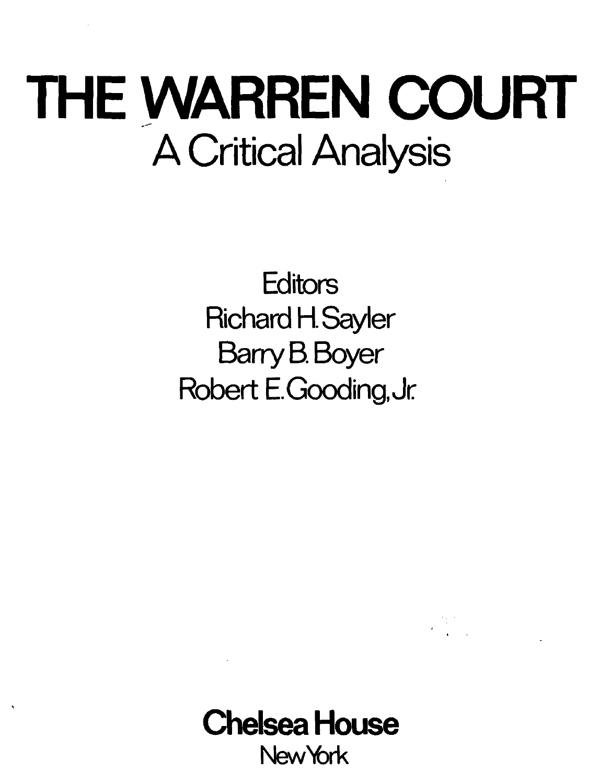# **THE WARREN COURT** A Critical Analysis

Editors Richard H. Sayler Barry B. Boyer Robert E.Gooding, Jr.

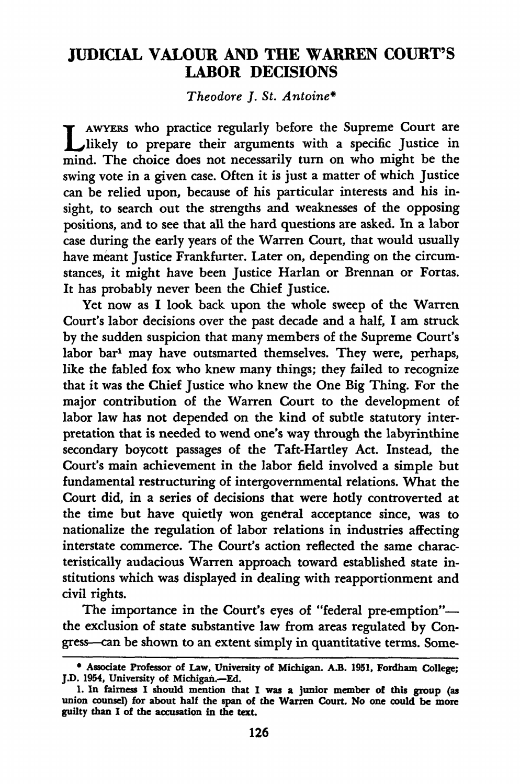## JUDICIAL VALOUR AND THE WARREN COURT'S LABOR DECISIONS

*Theodore]. St. Antoine•* 

LAWYERS who practice regularly before the Supreme Court are likely to prepare their arguments with a specific Justice in mind. The choice does not necessarily turn on who might be the swing vote in a given case. Often it is just a matter of which Justice can be relied upon, because of his particular interests and his insight, to search out the strengths and weaknesses of the opposing positions, and to see that all the hard questions are asked. In a labor case during the early years of the Warren Court, that would usually have meant Justice Frankfurter. Later on, depending on the circumstances, it might have been Justice Harlan or Brennan or Fortas. It has probably never been the Chief Justice.

Yet now as I look back upon the whole sweep of the Warren Court's labor decisions over the past decade and a half, I am struck by the sudden suspicion that many members of the Supreme Court's labor bar<sup>1</sup> may have outsmarted themselves. They were, perhaps, like the fabled fox who knew many things; they failed to recognize that it was the Chief Justice who knew the One Big Thing. For the major contribution of the Warren Court to the development of labor law has not depended on the kind of subtle statutory interpretation that is needed to wend one's way through the labyrinthine secondary boycott passages of the Taft-Hartley Act. Instead, the Court's main achievement in the labor field involved a simple but fundamental restructuring of intergovernmental relations. What the Court did, in a series of decisions that were hotly controverted at the time but have quietly won general acceptance since, was to nationalize the regulation of labor relations in industries affecting interstate commerce. The Court's action reflected the same characteristically audacious Warren approach toward established state institutions which was displayed in dealing with reapportionment and civil rights.

The importance in the Court's eyes of "federal pre-emption"the exclusion of state substantive law from areas regulated by Congress-can be shown to an extent simply in quantitative terms. Some-

<sup>•</sup> **Aaociate Professor of Law,** University **of Michigan. A.B. 1951, Fordham College: J.D. 1954, University of Michigan.--Ed.** 

<sup>1.</sup> In fairness I should mention that I was a junior member of this group (as union counsel) for about half the span of the Warren Court. No one could be more guilty than I of the accusation in the text.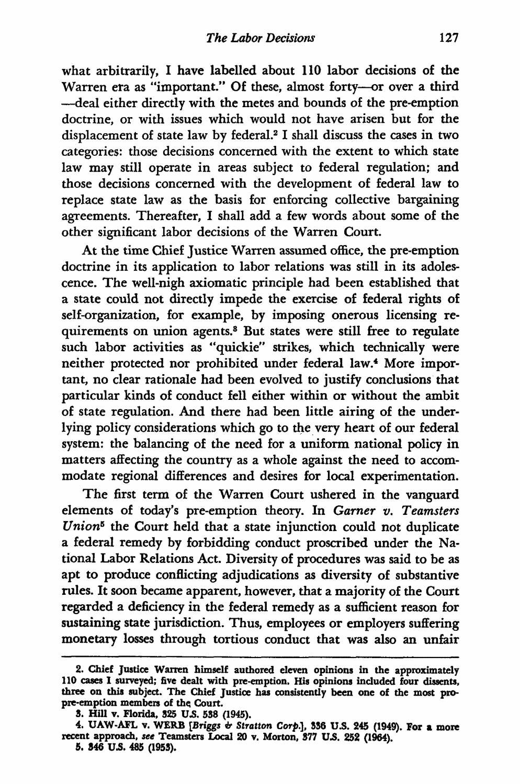what arbitrarily, I have labelled about 110 labor decisions of the Warren era as "important." Of these, almost forty-or over a third -deal either directly with the metes and bounds of the pre-emption doctrine, or with issues which would not have arisen but for the displacement of state law by federal.<sup>2</sup> I shall discuss the cases in two categories: those decisions concerned with the extent to which state law may still operate in areas subject to federal regulation; and those decisions concerned with the development of federal law to replace state law as the basis for enforcing collective bargaining agreements. Thereafter, I shall add a few words about some of the other significant labor decisions of the Warren Court.

At the time Chief Justice Warren assumed office, the pre-emption doctrine in its application to labor relations was still in its adolescence. The well-nigh axiomatic principle had been established that a state could not directly impede the exercise of federal rights of self-organization, for example, by imposing onerous licensing requirements on union agents.<sup>8</sup> But states were still free to regulate such labor activities as "quickie" strikes, which technically were neither protected nor prohibited under federal law.' More important, no clear rationale had been evolved to justify conclusions that particular kinds of conduct fell either within or without the ambit of state regulation. And there had been little airing of the underlying policy considerations which go to the very heart of our federal system: the balancing of the need for a uniform national policy in matters affecting the country as a whole against the need to accommodate regional differences and desires for local experimentation.

The first term of the Warren Court ushered in the vanguard elements of today's pre-emption theory. In *Gamer v. Teamsters*   $Union<sup>5</sup>$  the Court held that a state injunction could not duplicate a federal remedy by forbidding conduct proscribed under the National Labor Relations Act. Diversity of procedures was said to be as apt to produce conflicting adjudications as diversity of substantive rules. It soon became apparent, however, that a majority of the Court regarded a deficiency in the federal remedy as a sufficient reason for sustaining state jurisdiction. Thus, employees or employers suffering monetary losses through tortious conduct that was also an unfair

**<sup>2.</sup> Chief Justice Wam:n himself authored eleven opinions** in **the approximately 110 cues** I **surveyed: &ve dealt with pre-emption, His opinions included four diuents, three on this subject. The Chief Justice has consistently been one of the most pro**pre-emption members of the Court.

<sup>3.</sup> Hill v. Florida, 325 U.S. 538 (1945).

**<sup>4,</sup> UAW-Ari. v, WED {Briggs O' SIFa&ton CMj).], SS6 U.S. 24:5 (1949), For a more**  recent approach, see Teamsters Local 20 v. Morton, 377 U.S. 252 (1964). **5, 546 U.S. 485 (1955),**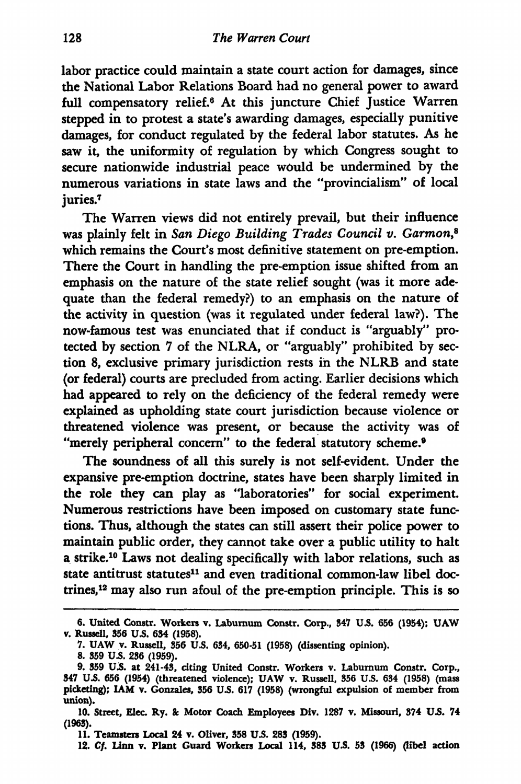labor practice could maintain a **state** court action for **damages,** since the National Labor Relations Board had no general power to award full compensatory relief.6 At this juncture Chief Justice Warren stepped in to protest a state's awarding damages, especially punitive damages, for conduct regulated by the federal labor statutes. As he saw it, the uniformity of regulation by which Congress sought to secure nationwide industrial peace would be undermined by the numerous variations in state laws and the "provincialism" of local juries.'

The Warren views did not entirely prevail, but their influence was plainly felt in *San Diego Building Trades Council v. Garmon,*<sup>8</sup> which remains the Court's most definitive statement on pre-emption. There the Court in handling the pre-emption issue shifted from an emphasis on the nature of the state relief sought (was it more adequate than the federal remedy?) to an emphasis on the nature of the activity in question (was it regulated under federal law?). The now-famous test was enunciated that if conduct is "arguably'' protected by section 7 of the NLRA, or "arguably" prohibited by section 8, exclusive primary jurisdiction rests in the NLRB and state (or federal) courts are precluded from acting. Earlier decisions which had appeared to rely on the deficiency of the federal remedy were explained as upholding state court jurisdiction because violence or threatened violence was present, or because the activity was of "merely peripheral concern" to the federal statutory scheme.<sup>9</sup>

**The** soundness of all this surely is not self-evident. Under the expansive pre-emption doctrine, states have been sharply limited in the role they can play as "laboratories" for social experiment. Numerous restrictions have been imposed on customary state functions. Thus, although the states can still assert their police power to maintain public order, they cannot take over a public utility to halt a. strike.10 Laws not dealing specifically with labor relations, such as state antitrust statutes<sup>11</sup> and even traditional common-law libel doctrines,12 may also run afoul of the pre-emption principle. This is so

12. Cf. Linn v. Plant Guard Workers Local 114, 383 U.S. 53 (1966) (libel action

<sup>6.</sup> United Constr. Workers v. Laburnum Constr. Corp., 347 U.S. 656 (1954); UAW v. Russell, 356 U.S. 634 (1958).

<sup>7.</sup> UAW v. Russell, 356 U.S. 634, 650-51 (1958) (dissenting opinion).

<sup>8. 359</sup> U.S. 236 (1959).

<sup>9. 359</sup> U.S. at 241-43, citing United Constr. Workers v. Laburnum Constr. Corp., 547 U.S. 656 (1954) (threatened violence); UAW v. Russell, 856 U.S. 684 (1958) (mass picketing); IAM v. Gonzales, 356 U.S. 617 (1958) (wrongful expulsion of member from union).

<sup>10.</sup> Street, Elec. Ry. &: Motor Coach Employees Div. 1287 v. Missouri, 374 U.S. 74 (1968).

<sup>11.</sup> Teamsters Local 24 v. Oliver, 358 U.S. 283 (1959).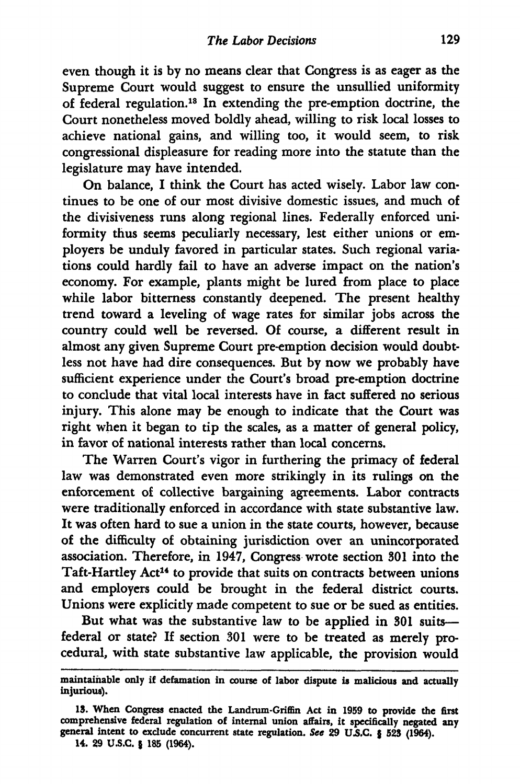even though it is by no means clear that Congress is as eager as the Supreme Court would suggest to ensure the unsullied uniformity of federal regulation.18 In extending the pre-emption doctrine, the Court nonetheless moved boldly ahead, willing to risk local losses to achieve national gains, and willing too, it would seem, to risk congressional displeasure for reading more into the statute than the legislature may have intended.

On balance, I think the Court has acted wisely. Labor law continues to be one of our most divisive domestic issues, and much of the divisiveness runs along regional lines. Federally enforced uniformity thus seems peculiarly necessary, lest either unions or employers be unduly favored in particular states. Such regional varia• tions could hardly fail to have an adverse impact on the nation's economy. For example, plants might be lured from place to place while labor bitterness constantly deepened. The present healthy trend toward a leveling of wage rates for similar jobs across the country could well be reversed. Of course, a different result in almost any given Supreme Court pre-emption decision would doubt· less not have had dire consequences. But by now we probably have sufficient experience under the Court's broad pre-emption doctrine to conclude that vital local interests have in fact suffered no serious injury. This alone may be enough to indicate that the Court was right when it began to tip the scales, as a matter of general policy, in favor of national interests rather than local concerns.

The Warren Court's vigor in furthering the primacy of federal law was demonstrated even more strikingly in its rulings on the enforcement of collective bargaining agreements. Labor contracts were traditionally enforced in accordance with state substantive law. It was often hard to sue a union in the state courts, however, because of the difficulty of obtaining jurisdiction over an unincorporated association. Therefore, in 1947, Congress-wrote section 801 into the Taft-Hartley Act<sup>14</sup> to provide that suits on contracts between unions and employers could be brought in the federal district courts. Unions were explicitly made competent to sue or be sued as entities.

But what was the substantive law to be applied in 301 suitsfederal or state? If section 301 were to be treated as merely pro• cedural, with state substantive law applicable, the provision would

maintainable only if defamation in course of labor dispute is malicious and actually injurious),

IS. When Congress enacted the Landrum-Griffin Act in 1959 to provide the first comprehensive federal regulation of internal union affairs, it specifically negated any general intent to exclude concurrent state regulation. *See* 29 U.S.C. § 523 (1964).

<sup>14. 29</sup> U.S.C. § 185 (1964).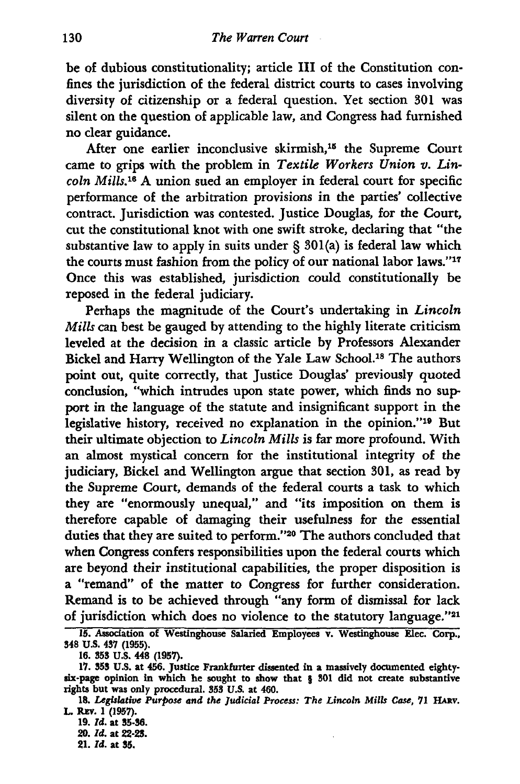be of dubious constitutionality; article Ill of the Constitution confines the jurisdiction of the federal district courts to cases involving diversity of citizenship or a federal question. Yet section 301 was silent on the question of applicable law, and Congress had furnished no clear guidance.

After one earlier inconclusive skirmish,<sup>15</sup> the Supreme Court came to grips with the problem in *Textile Workers Union v. Lincoln Mills. <sup>16</sup>*A union sued an employer in federal court for specific performance of the arbitration provisions in the parties' collective contract. Jurisdiction was contested. Justice Douglas, for the Court, cut the constitutional knot with one swift stroke, declaring that "the substantive law to apply in suits under  $\S 301(a)$  is federal law which the courts must fashion from the policy of our national labor laws."17 Once this was established, jurisdiction could constitutionally be reposed in the federal judiciary.

Perhaps the magnitude of the Court's undertaking in *Lincoln Mills* can best be gauged by attending to the highly literate criticism leveled at the decision in a classic article by Professors Alexander Bickel and Harry Wellington of the Yale Law School.18 The authors point out, quite correctly, that Justice Douglas' previously quoted conclusion, "which intrudes upon state power, which finds no support in the language of the statute and insignificant support in the legislative history, received no explanation in the opinion."19 But their ultimate objection to *Lincoln Mills* is far more profound. With an almost mystical concern for the institutional integrity of the judiciary, Bickel and Wellington argue that section 301, as read by the Supreme Court, demands of the federal courts a task to which they are "enormously unequal," and "its imposition on them is therefore capable of damaging their usefulness for the essential duties that they are suited to perform."20 The authors concluded that when Congress confers responsibilities upon the federal courts which are beyond their institutional capabilities, the proper disposition is a "remand" of the matter to Congress for further consideration. Remand is to be achieved through "any form of dismissal for lack of jurisdiction which does no violence to the statutory Ianguage."21

19. *Id.* at 85-86.

21. Id. at 35.

<sup>15.</sup> Association of Westinghouse Salaried Employees v. Westinghouse Elec. Corp., 848 U.S. 487 (1955).

<sup>16. 858</sup> U.S. 448 (1957).

<sup>17. 353</sup> U.S. at 456. Justice Frankfurter dissented in a massively documented eightyaix-page opinion in which be sought to show that § 801 did not create substantive rights but was only procedural. 353 U.S. at 460.

<sup>18.</sup> *Legislative Purpose and the Judicial Process: The Lincoln Mills Case,* 71 Rutv. L. REV. 1 (1957).

<sup>20.</sup> *Id.* at 22-23.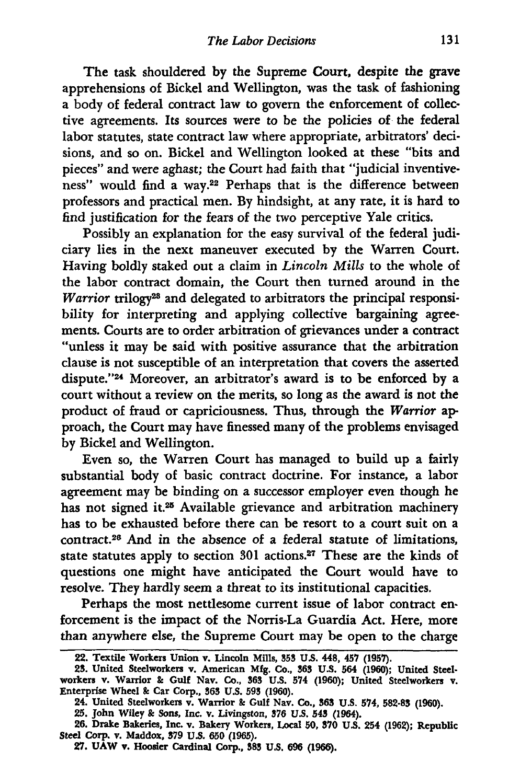The task shouldered by the Supreme Court, despite the grave apprehensions of Bickel and Wellington, was the task of fashioning a body of federal contract law to govern the enforcement of collective agreements. Its sources were to be the policies of the federal labor statutes, state contract law where appropriate, arbitrators' decisions, and so on. Bickel and Wellington looked at these "bits and pieces" and were aghast; the Court had faith that "judicial inventiveness" would find a way.22 Perhaps that is the difference between professors and practical men. By hindsight, at any rate, it is hard to find justification for the fears of the two perceptive Yale critics.

Possibly an explanation for the easy survival of the federal judiciary lies in the next maneuver executed by the Warren Court. Having boldly staked out a claim in *Lincoln Mills* to the whole of the labor contract domain, the Court then turned around in the *Warrior* trilogy28 and delegated to arbitrators the principal responsibility for interpreting and applying collective bargaining agreements. Courts are to order arbitration of grievances under a contract "unless it may be said with positive assurance that the arbitration clause is not susceptible of an interpretation that covers the asserted dispute."<sup>24</sup> Moreover, an arbitrator's award is to be enforced by a court without a review on the merits, so long as the award is not the product of fraud or capriciousness. Thus, through the *Warrior* approach, the Court may have finessed many of the problems envisaged by Bickel and Wellington.

Even so, the Warren Court has managed to build up a fairly substantial body of basic contract doctrine. For instance, a labor agreement may be binding on a successor employer even though he has not signed it.<sup>25</sup> Available grievance and arbitration machinery has to be exhausted before there can be resort to a court suit on a contract.28 And in the absence of a federal statute of limitations, state statutes apply to section 301 actions.27 These are the kinds of questions one might have anticipated the Court would have to resolve. They hardly seem a threat to its institutional capacities.

Perhaps the most nettlesome current issue of labor contract enforcement is the impact of the Norris-La Guardia Act. Here, more than anywhere else, the Supreme Court may be open to the charge

<sup>22.</sup> Textile Workers Union v. Lincoln Mills, 353 U.S. 448, 457 (1957).

<sup>23.</sup> United Steelworkers v. American Mfg. Co., 363 U.S. 564 (1960); United Steelworkers v. Warrior & Gulf Nav. Co., 363 U.S. 574 (1960); United Steelworkers v. Enterprise Wheel & Car Corp., 363 U.S. 593 (1960).

<sup>24.</sup> United Steelworkers v. Warrior & Gulf Nav. Co., 363 U.S. 574, 582-83 (1960).

<sup>25.</sup> John Wiley & Sons, Inc. v. Livingston, 376 U.S. 543 (1964).

<sup>26.</sup> Drake Bakeries, Inc. v. Bakery Workers, Local 50, 370 U.S. 254 (1962); Republic Steel Corp. v. Maddox, 579 U.S. 650 (1965).

<sup>27.</sup> UAW v. Hoosier Cardinal Corp., 385 U.S. 696 (1966).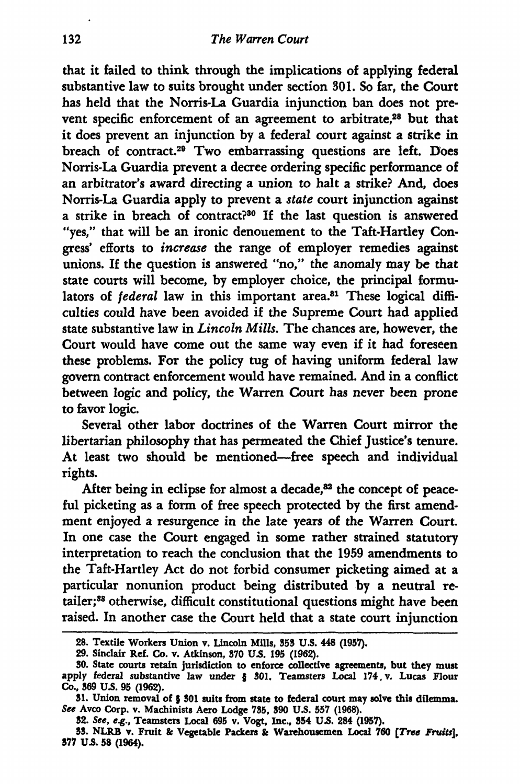that it failed to think through the implications of applying federal substantive law to suits brought under section 801. So far, the Court has held that the Norris-La Guardia injunction ban does not prevent specific enforcement of an agreement to arbitrate,<sup>28</sup> but that it does prevent an injunction by a federal court against a strike in breach of contract.<sup>29</sup> Two embarrassing questions are left. Does Norris-La Guardia prevent a decree ordering specific performance of an arbitrator's award directing a union to halt a strike? And, does Norris-La Guardia apply to prevent a *state* court injunction against a strike in breach of contract?<sup>30</sup> If the last question is answered "yes," that will be an ironic denouement to the Taft-Hartley Congress' efforts to *increase* the range of employer remedies against unions. If the question is answered "no," the anomaly may be that state courts will become, by employer choice, the principal formulators of federal law in this important area.<sup>81</sup> These logical difficulties could have been avoided if the Supreme Court had applied state substantive law in *Lincoln Mills.* The chances are, however, the Court would have come out the same way even if it had foreseen these problems. For the policy tug of having uniform federal law govern contract enforcement would have remained. And in a conflict between logic and policy, the Warren Court has never been prone to favor logic.

Several other labor doctrines of the Warren Court mirror the libertarian philosophy that has permeated the Chief Justice's tenure. At least two should be mentioned-free speech and individual rights.

After being in eclipse for almost a decade, $82$  the concept of peaceful picketing as a form of free speech protected by the first amendment enjoyed a resurgence in the late years of the Warren Court. In one case the Court engaged in some rather strained statutory interpretation to reach the conclusion that the 1959 amendments to the Taft-Hartley Act do not forbid consumer picketing aimed at a particular nonunion product being distributed by a neutral retailer;<sup>88</sup> otherwise, difficult constitutional questions might have been raised. In another case the Court held that a state court injunction

<sup>28.</sup> Textile Workers Union v. Lincoln Mills. 353 U.S. 448 (1957).

<sup>29.</sup> Sinclair Ref. Co. v. Atkinson, 370 U.S. 195 (1962).

<sup>30.</sup> State courts retain jurisdiction to enforce collective agreements, but they must apply federal substantive law under  $\frac{1}{2}$  301. Teamsters Local 174, v. Lucas Flour Co., 369 U.S. 95 (1962).

<sup>31.</sup> Union removal of § 301 suits from state to federal court may solve this dilemma. See Avco Corp. v. Machinists Aero Lodge 735, 390 U.S. 557 (1968).

<sup>82.</sup> See, e.g., Teamsters Local 695 v. Vogt, Inc., 354 U.S. 284 (1957).

<sup>33.</sup> NLRB v. Fruit & Vegetable Packers & Warehousemen Local 760 [Tree Fruits], 877 U.S. 58 (1964).